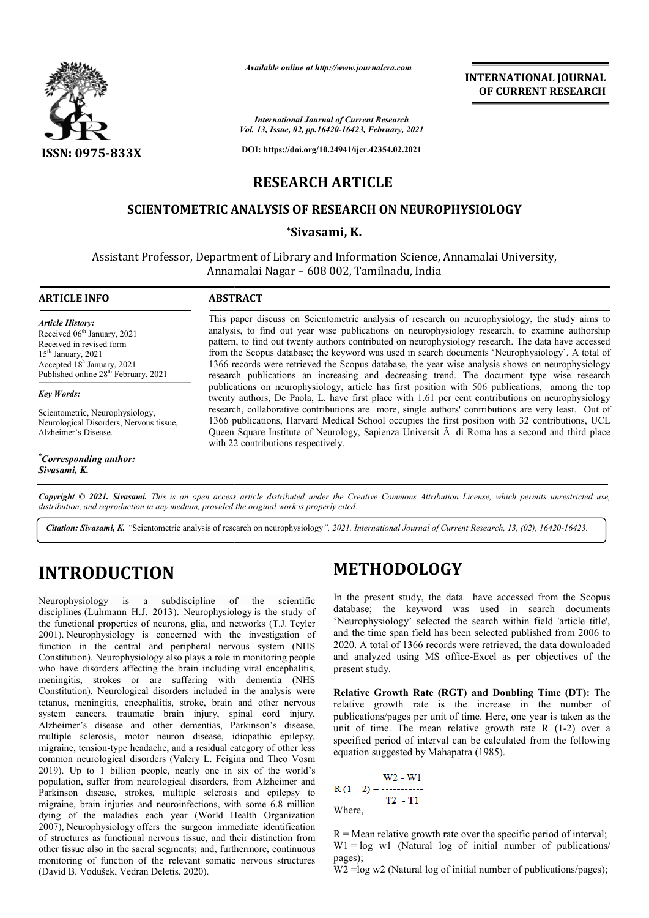

*Available online at http://www.journalcra.com*

**INTERNATIONAL JOURNAL OF CURRENT RESEARCH**

*International Journal of Current Research Vol. 13, Issue, 02, pp.16420-16423, February, 2021*

**DOI: https://doi.org/10.24941/ijcr.42354.02.2021**

# **RESEARCH ARTICLE**

# **SCIENTOMETRIC ANALYSIS OF RESEARCH ON NEUROPHYSIOLOGY NEUROPHYSIOLOGY**

# **\*Sivasami, K.**

Assistant Professor, Department of Library and Information Science, Annamalai University, Annamalai Nagar – 608 002, Tamilnadu, India

# **ARTICLE INFO ABSTRACT**

*Article History: Article History:* Received 06<sup>th</sup> January, 2021 Received in revised form Received in revised form Received  $15<sup>th</sup> January, 2021$ Accepted  $18<sup>h</sup>$  January, 2021 Published online 28<sup>th</sup> February, 2021

## *Key Words:*

Scientometric, Neurophysiology, Neurological Disorders, Nervous tissue, Alzheimer's Disease.

*\* Corresponding author: Sivasami, K.*

This paper discuss on Scientometric analysis of research on neurophysiology, the study aims to analysis, to find out year wise publications on neurophysiology research, to examine authorship pattern, to find out twenty authors contributed on neurophysiolog neurophysiology research. The data have accessed from the Scopus database; the keyword was used in search documents 'Neurophysiology'. A total of 1366 records were retrieved the Scopus database, the year wise analysis shows on neurophysiology research publications an increasing and decreasing trend. The document type wise research publications on neurophysiology, article has first position with 506 publications, among the top twenty authors, De Paola, L. have first place with 1.61 per cent contributions on neurophysiology research, collaborative contributions are more, single authors' contributions are very least. Out of 1366 publications, Harvard Medical School occupies the first position with 32 contributions, UCL Queen Square Institute of Neurology, Sapienza Universit  $\ddot{A}$  di Roma has a second and third place with 22 contributions respectively. INTERNATIONAL JOURNAL<br>
From Research<br>
For Secure 1.<br>
Secure The specific SEC of the specific specific specific specific<br>
1.5, Formany, 2021<br>
i.et 3254.02.2021<br>
CFI ON NEUROPHYSIOLOGY<br>
CFI CHE ON NEUROPHYSIOLOGY<br>
CFI CHE O

Copyright © 2021. Sivasami. This is an open access article distributed under the Creative Commons Attribution License, which permits unrestricted use, *distribution, and reproduction in any medium, provided the original work is properly cited.*

Citation: Sivasami, K. "Scientometric analysis of research on neurophysiology", 2021. International Journal of Current Research, 13, (02), 16420-16423.

# **INTRODUCTION**

Neurophysiology is a subdiscipline of the scientific disciplines (Luhmann H.J. 2013). Neurophysiology is the study of the functional properties of neurons, glia, and networks (T.J. Teyler 2001). Neurophysiology is concerned with the investigation of function in the central and peripheral nervous system (NHS Constitution). Neurophysiology also plays a role in monitoring people who have disorders affecting the brain including viral encephalitis, meningitis, strokes or are suffering with dementia (NHS Constitution). Neurological disorders included in the analysis were tetanus, meningitis, encephalitis, stroke, brain and other nervous system cancers, traumatic brain injury, spinal cord injury, Alzheimer's disease and other dementias, Parkinson's disease, multiple sclerosis, motor neuron disease, idiopathic epilepsy, migraine, tension-type headache, and a residual category of other less common neurological disorders (Valery L. Feigina and Theo Vosm 2019). Up to 1 billion people, nearly one in six of the world's population, suffer from neurological disorders, from Alzheimer and Parkinson disease, strokes, multiple sclerosis and epilepsy to migraine, brain injuries and neuroinfections, with some 6.8 million dying of the maladies each year (World Health Organization 2007), Neurophysiology offers the surgeon immediate identification of structures as functional nervous tissue, and their distinction from other tissue also in the sacral segments; and, furthermore, continuous monitoring of function of the relevant somatic nervous structures (David B. Vodušek, Vedran Deletis, 2020). itution). Neurophysiology also play<br>nave disorders affecting the brain<br>ngitis, strokes or are sufferin<br>itution). Neurological disorders in<br>s, meningitis, encephalitis, stroke<br>n cancers, traumatic brain in<br>imer's disease an **IDCTION**<br> **IDETHODOLOGY**<br> **ISON CONTRIMENT ISONSTET ISONS AND THE THODOLOGY**<br> **ISONS AND AND AND THE SUBACT CONTABLY**<br> **ISONS AND THE SUBACT CONTABLY**<br> **ISONS** THE SUBAL AND A THE SUBAL THE SUBAL THE SUBACT CONDUCT THE S

In the present study, the data have accessed from the Scopus database; the keyword was used in search documents In the present study, the data have accessed from the Scopus database; the keyword was used in search documents 'Neurophysiology' selected the search within field 'article title', and the time span field has been selected published from 2006 to 2020. A total of 1366 records were retrieved, the data downloaded and analyzed using MS office-Excel as per objectives of the present study. span field has been selected published from 2006 to of 1366 records were retrieved, the data downloaded l using MS office-Excel as per objectives of the

**Relative Growth Rate (RGT) and Doubling Time (DT):** The relative growth rate is the increase in the number of publications/pages per unit of time. Here, one year is taken as the relative growth rate is the increase in the number of publications/pages per unit of time. Here, one year is taken as the unit of time. The mean relative growth rate R (1-2) over a specified period of interval can be calculated from the following equation suggested by Mahapatra (1985).

Where,

 $R =$  Mean relative growth rate over the specific period of interval;  $W1 = log \t w1$  (Natural log of initial number of publications/ pages).

 $W2 = log w2$  (Natural log of initial number of publications/pages);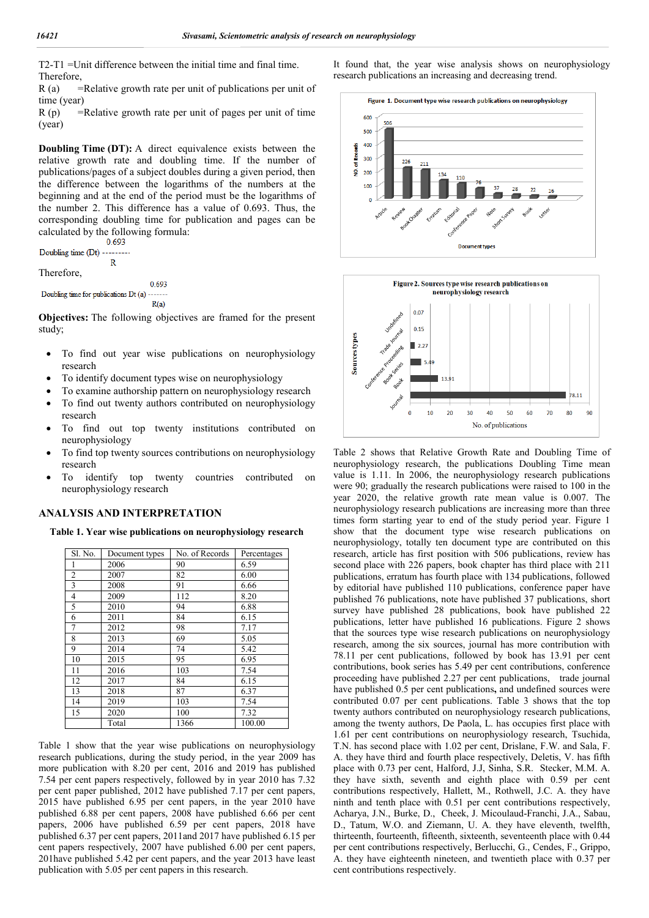T2-T1 =Unit difference between the initial time and final time. Therefore,

 $R$  (a) = Relative growth rate per unit of publications per unit of time (year)

 $R(p)$  = Relative growth rate per unit of pages per unit of time (year)

**Doubling Time (DT):** A direct equivalence exists between the relative growth rate and doubling time. If the number of publications/pages of a subject doubles during a given period, then the difference between the logarithms of the numbers at the beginning and at the end of the period must be the logarithms of the number 2. This difference has a value of 0.693. Thus, the corresponding doubling time for publication and pages can be calculated by the following formula:<br> $0.693$ 

Doubling time (Dt)  $\mathbf{R}$ Therefore, 0.693

Doubling time for publications Dt (a)  $R(a)$ 

**Objectives:** The following objectives are framed for the present study;

- To find out year wise publications on neurophysiology research
- To identify document types wise on neurophysiology
- To examine authorship pattern on neurophysiology research
- To find out twenty authors contributed on neurophysiology research
- To find out top twenty institutions contributed on neurophysiology
- To find top twenty sources contributions on neurophysiology research
- To identify top twenty countries contributed on neurophysiology research

### **ANALYSIS AND INTERPRETATION**

**Table 1. Year wise publications on neurophysiology research**

| Sl. No.        | Document types | No. of Records | Percentages |
|----------------|----------------|----------------|-------------|
|                | 2006           | 90             | 6.59        |
| $\overline{2}$ | 2007           | 82             | 6.00        |
| 3              | 2008           | 91             | 6.66        |
| $\overline{4}$ | 2009           | 112            | 8.20        |
| 5              | 2010           | 94             | 6.88        |
| 6              | 2011           | 84             | 6.15        |
| 7              | 2012           | 98             | 7.17        |
| 8              | 2013           | 69             | 5.05        |
| 9              | 2014           | 74             | 5.42        |
| 10             | 2015           | 95             | 6.95        |
| 11             | 2016           | 103            | 7.54        |
| 12             | 2017           | 84             | 6.15        |
| 13             | 2018           | 87             | 6.37        |
| 14             | 2019           | 103            | 7.54        |
| 15             | 2020           | 100            | 7.32        |
|                | Total          | 1366           | 100.00      |

Table 1 show that the year wise publications on neurophysiology research publications, during the study period, in the year 2009 has more publication with 8.20 per cent, 2016 and 2019 has published 7.54 per cent papers respectively, followed by in year 2010 has 7.32 per cent paper published, 2012 have published 7.17 per cent papers, 2015 have published 6.95 per cent papers, in the year 2010 have published 6.88 per cent papers, 2008 have published 6.66 per cent papers, 2006 have published 6.59 per cent papers, 2018 have published 6.37 per cent papers, 2011and 2017 have published 6.15 per cent papers respectively, 2007 have published 6.00 per cent papers, 201have published 5.42 per cent papers, and the year 2013 have least publication with 5.05 per cent papers in this research.

It found that, the year wise analysis shows on neurophysiology research publications an increasing and decreasing trend.





Table 2 shows that Relative Growth Rate and Doubling Time of neurophysiology research, the publications Doubling Time mean value is 1.11. In 2006, the neurophysiology research publications were 90; gradually the research publications were raised to 100 in the year 2020, the relative growth rate mean value is 0.007. The neurophysiology research publications are increasing more than three times form starting year to end of the study period year. Figure 1 show that the document type wise research publications on neurophysiology, totally ten document type are contributed on this research, article has first position with 506 publications, review has second place with 226 papers, book chapter has third place with 211 publications, erratum has fourth place with 134 publications, followed by editorial have published 110 publications, conference paper have published 76 publications, note have published 37 publications, short survey have published 28 publications, book have published 22 publications, letter have published 16 publications. Figure 2 shows that the sources type wise research publications on neurophysiology research, among the six sources, journal has more contribution with 78.11 per cent publications, followed by book has 13.91 per cent contributions, book series has 5.49 per cent contributions, conference proceeding have published 2.27 per cent publications, trade journal have published 0.5 per cent publications**,** and undefined sources were contributed 0.07 per cent publications. Table 3 shows that the top twenty authors contributed on neurophysiology research publications, among the twenty authors, De Paola, L. has occupies first place with 1.61 per cent contributions on neurophysiology research, Tsuchida, T.N. has second place with 1.02 per cent, Drislane, F.W. and Sala, F. A. they have third and fourth place respectively, Deletis, V. has fifth place with 0.73 per cent, Halford, J.J, Sinha, S.R. Stecker, M.M. A. they have sixth, seventh and eighth place with 0.59 per cent contributions respectively, Hallett, M., Rothwell, J.C. A. they have ninth and tenth place with 0.51 per cent contributions respectively, Acharya, J.N., Burke, D., Cheek, J. Micoulaud-Franchi, J.A., Sabau, D., Tatum, W.O. and Ziemann, U. A. they have eleventh, twelfth, thirteenth, fourteenth, fifteenth, sixteenth, seventeenth place with 0.44 per cent contributions respectively, Berlucchi, G., Cendes, F., Grippo, A. they have eighteenth nineteen, and twentieth place with 0.37 per cent contributions respectively.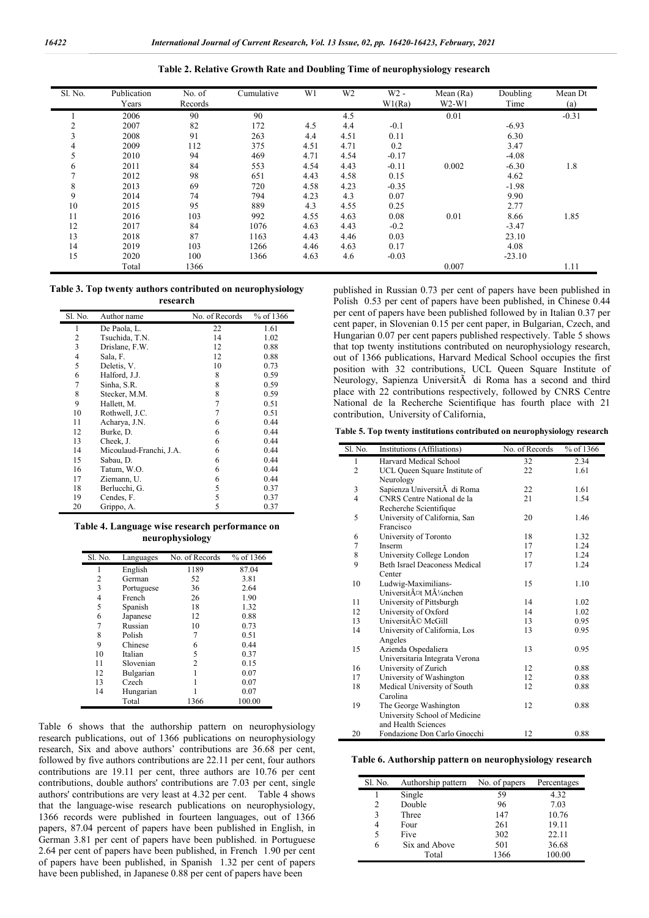| Sl. No. | Publication | No. of  | Cumulative | W1   | W <sub>2</sub> | $W2 -$  | Mean (Ra) | Doubling | Mean Dt |
|---------|-------------|---------|------------|------|----------------|---------|-----------|----------|---------|
|         | Years       | Records |            |      |                | W1(Ra)  | $W2-W1$   | Time     | (a)     |
|         | 2006        | 90      | 90         |      | 4.5            |         | 0.01      |          | $-0.31$ |
| ◠       | 2007        | 82      | 172        | 4.5  | 4.4            | $-0.1$  |           | $-6.93$  |         |
| 3       | 2008        | 91      | 263        | 4.4  | 4.51           | 0.11    |           | 6.30     |         |
| 4       | 2009        | 112     | 375        | 4.51 | 4.71           | 0.2     |           | 3.47     |         |
|         | 2010        | 94      | 469        | 4.71 | 4.54           | $-0.17$ |           | $-4.08$  |         |
| 6       | 2011        | 84      | 553        | 4.54 | 4.43           | $-0.11$ | 0.002     | $-6.30$  | 1.8     |
|         | 2012        | 98      | 651        | 4.43 | 4.58           | 0.15    |           | 4.62     |         |
| 8       | 2013        | 69      | 720        | 4.58 | 4.23           | $-0.35$ |           | $-1.98$  |         |
| 9       | 2014        | 74      | 794        | 4.23 | 4.3            | 0.07    |           | 9.90     |         |
| 10      | 2015        | 95      | 889        | 4.3  | 4.55           | 0.25    |           | 2.77     |         |
| 11      | 2016        | 103     | 992        | 4.55 | 4.63           | 0.08    | 0.01      | 8.66     | 1.85    |
| 12      | 2017        | 84      | 1076       | 4.63 | 4.43           | $-0.2$  |           | $-3.47$  |         |
| 13      | 2018        | 87      | 1163       | 4.43 | 4.46           | 0.03    |           | 23.10    |         |
| 14      | 2019        | 103     | 1266       | 4.46 | 4.63           | 0.17    |           | 4.08     |         |
| 15      | 2020        | 100     | 1366       | 4.63 | 4.6            | $-0.03$ |           | $-23.10$ |         |

Total 1366 1.11 and 1366 1.11 and 1366 1.11 and 137 and 1386 1.11 and 1.11 and 1.11 and 1.11 and 1.11 and 1.11

**Table 2. Relative Growth Rate and Doubling Time of neurophysiology research**

### **Table 3. Top twenty authors contributed on neurophysiology research**

| Sl. No.        | Author name             | No. of Records | % of 1366 |
|----------------|-------------------------|----------------|-----------|
| 1              | De Paola, L.            | 22             | 1.61      |
| $\overline{2}$ | Tsuchida, T.N.          | 14             | 1.02      |
| 3              | Drislane, F.W.          | 12             | 0.88      |
| 4              | Sala, F.                | 12             | 0.88      |
| 5              | Deletis, V.             | 10             | 0.73      |
| 6              | Halford, J.J.           | 8              | 0.59      |
| 7              | Sinha, S.R.             | 8              | 0.59      |
| 8              | Stecker, M.M.           | 8              | 0.59      |
| 9              | Hallett, M.             | 7              | 0.51      |
| 10             | Rothwell, J.C.          | 7              | 0.51      |
| 11             | Acharya, J.N.           | 6              | 0.44      |
| 12             | Burke, D.               | 6              | 0.44      |
| 13             | Cheek, J.               | 6              | 0.44      |
| 14             | Micoulaud-Franchi, J.A. | 6              | 0.44      |
| 15             | Sabau, D.               | 6              | 0.44      |
| 16             | Tatum, W.O.             | 6              | 0.44      |
| 17             | Ziemann, U.             | 6              | 0.44      |
| 18             | Berlucchi, G.           | 5              | 0.37      |
| 19             | Cendes, F.              | 5              | 0.37      |
| 20             | Grippo, A.              | 5              | 0.37      |

| Table 4. Language wise research performance on |  |
|------------------------------------------------|--|
| neurophysiology                                |  |

| Sl. No. | Languages  | No. of Records | % of 1366 |
|---------|------------|----------------|-----------|
| 1       | English    | 1189           | 87.04     |
| 2       | German     | 52             | 3.81      |
| 3       | Portuguese | 36             | 2.64      |
| 4       | French     | 26             | 1.90      |
| 5       | Spanish    | 18             | 1.32      |
| 6       | Japanese   | 12             | 0.88      |
| 7       | Russian    | 10             | 0.73      |
| 8       | Polish     | 7              | 0.51      |
| 9       | Chinese    | 6              | 0.44      |
| 10      | Italian    | 5              | 0.37      |
| 11      | Slovenian  | 2              | 0.15      |
| 12      | Bulgarian  |                | 0.07      |
| 13      | Czech      |                | 0.07      |
| 14      | Hungarian  |                | 0.07      |
|         | Total      | 1366           | 100.00    |

Table 6 shows that the authorship pattern on neurophysiology research publications, out of 1366 publications on neurophysiology research, Six and above authors' contributions are 36.68 per cent, followed by five authors contributions are 22.11 per cent, four authors contributions are 19.11 per cent, three authors are 10.76 per cent contributions, double authors' contributions are 7.03 per cent, single authors' contributions are very least at 4.32 per cent. Table 4 shows that the language-wise research publications on neurophysiology, 1366 records were published in fourteen languages, out of 1366 papers, 87.04 percent of papers have been published in English, in German 3.81 per cent of papers have been published. in Portuguese 2.64 per cent of papers have been published, in French 1.90 per cent of papers have been published, in Spanish 1.32 per cent of papers have been published, in Japanese 0.88 per cent of papers have been

published in Russian 0.73 per cent of papers have been published in Polish 0.53 per cent of papers have been published, in Chinese 0.44 per cent of papers have been published followed by in Italian 0.37 per cent paper, in Slovenian 0.15 per cent paper, in Bulgarian, Czech, and Hungarian 0.07 per cent papers published respectively. Table 5 shows that top twenty institutions contributed on neurophysiology research, out of 1366 publications, Harvard Medical School occupies the first position with 32 contributions, UCL Queen Square Institute of Neurology, Sapienza UniversitÃ di Roma has a second and third place with 22 contributions respectively, followed by CNRS Centre National de la Recherche Scientifique has fourth place with 21 contribution, University of California,

**Table 5. Top twenty institutions contributed on neurophysiology research**

| Sl. No.                 | Institutions (Affiliations)          | No. of Records | % of 1366 |
|-------------------------|--------------------------------------|----------------|-----------|
| $\mathbf{1}$            | Harvard Medical School               | 32             | 2.34      |
| $\overline{c}$          | UCL Queen Square Institute of        | 22             | 1.61      |
|                         | Neurology                            |                |           |
| 3                       | Sapienza UniversitĂ di Roma          | 22             | 1.61      |
| $\overline{\mathbf{4}}$ | CNRS Centre National de la           | 21             | 1.54      |
|                         | Recherche Scientifique               |                |           |
| 5                       | University of California, San        | 20             | 1.46      |
|                         | Francisco                            |                |           |
| 6                       | University of Toronto                | 18             | 1.32      |
| 7                       | Inserm                               | 17             | 1.24      |
| 8                       | University College London            | 17             | 1.24      |
| 9                       | <b>Beth Israel Deaconess Medical</b> | 17             | 1.24      |
|                         | Center                               |                |           |
| 10                      | Ludwig-Maximilians-                  | 15             | 1.10      |
|                         | Universit¤t M¼nchen                  |                |           |
| 11                      | University of Pittsburgh             | 14             | 1.02      |
| 12                      | University of Oxford                 | 14             | 1.02      |
| 13                      | Université McGill                    | 13             | 0.95      |
| 14                      | University of California, Los        | 13             | 0.95      |
|                         | Angeles                              |                |           |
| 15                      | Azienda Ospedaliera                  | 13             | 0.95      |
|                         | Universitaria Integrata Verona       |                |           |
| 16                      | University of Zurich                 | 12             | 0.88      |
| 17                      | University of Washington             | 12             | 0.88      |
| 18                      | Medical University of South          | 12             | 0.88      |
|                         | Carolina                             |                |           |
| 19                      | The George Washington                | 12             | 0.88      |
|                         | University School of Medicine        |                |           |
|                         | and Health Sciences                  |                |           |
| 20                      | Fondazione Don Carlo Gnocchi         | 12             | 0.88      |

**Table 6. Authorship pattern on neurophysiology research**

| Sl. No. | Authorship pattern | No. of papers | Percentages |
|---------|--------------------|---------------|-------------|
|         | Single             | 59            | 4.32        |
| 2       | Double             | 96            | 7.03        |
| 3       | Three              | 147           | 10.76       |
| 4       | Four               | 261           | 19.11       |
| 5       | Five               | 302           | 22.11       |
| 6       | Six and Above      | 501           | 36.68       |
|         | Total              | 1366          | 100.00      |